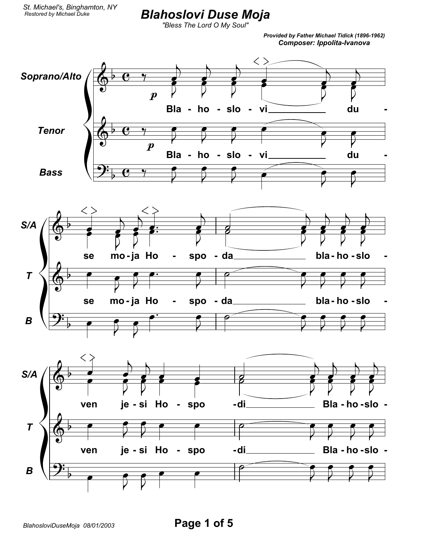## **Blahoslovi Duse Moja**<br>"Bless The Lord O My Soul"

Provided by Father Michael Tidick (1896-1962) Composer: Ippolita-Ivanova

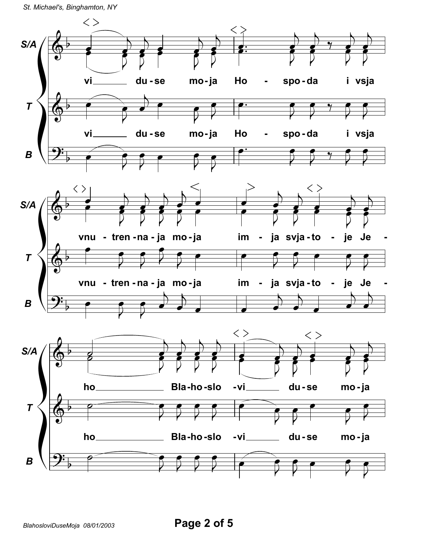St. Michael's, Binghamton, NY

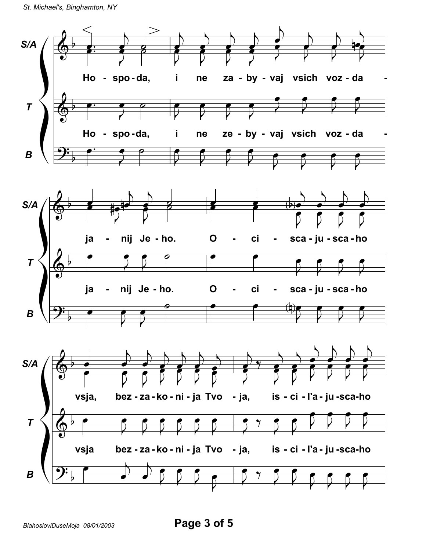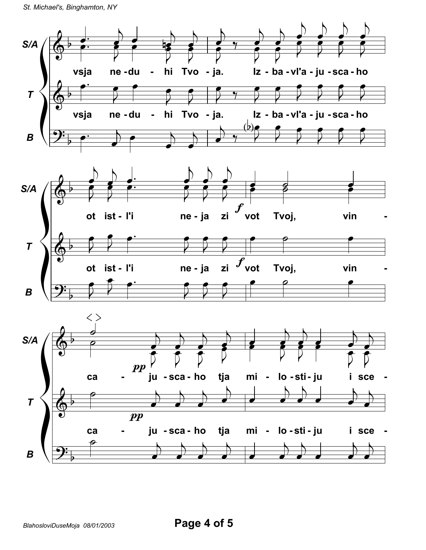